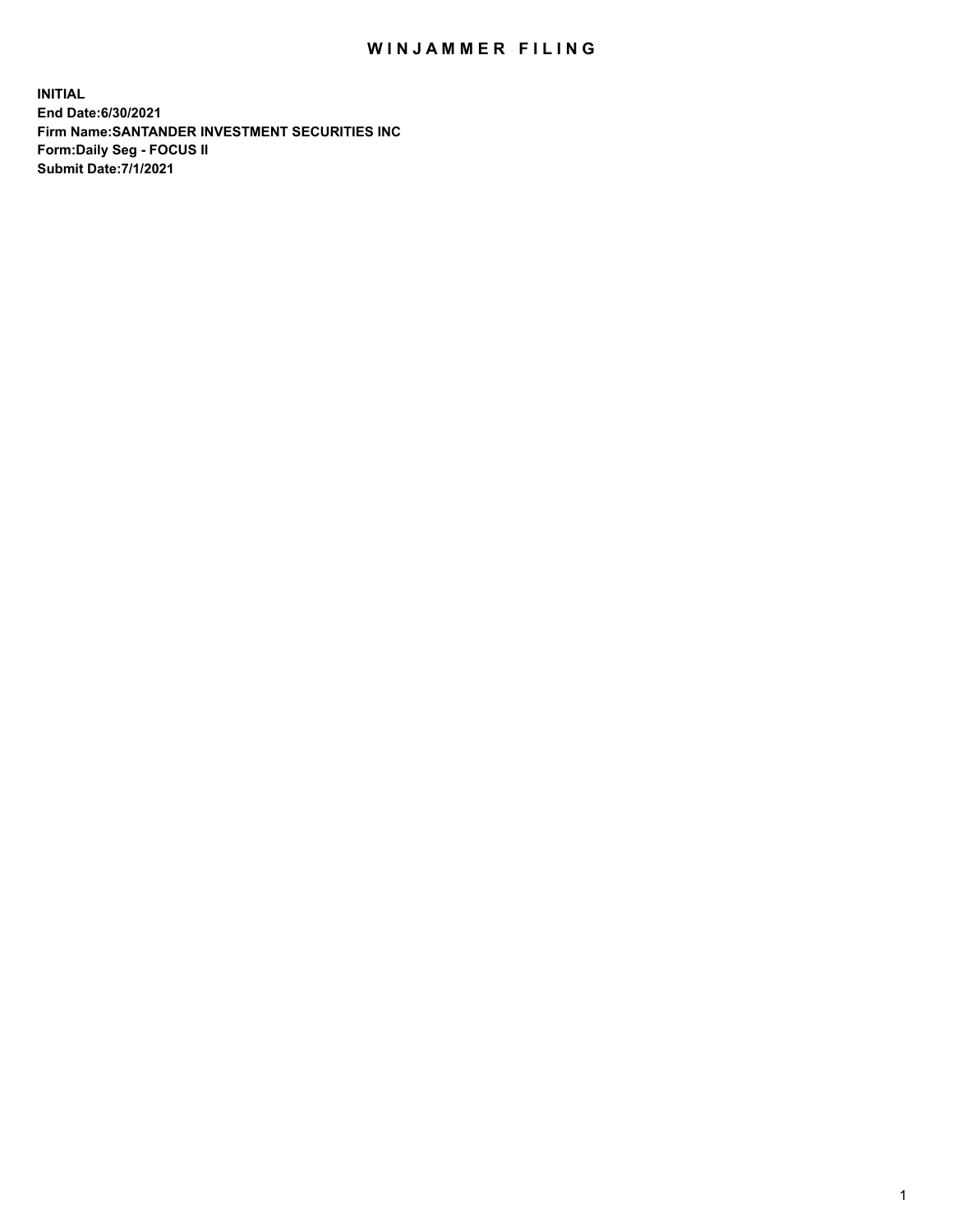## WIN JAMMER FILING

**INITIAL End Date:6/30/2021 Firm Name:SANTANDER INVESTMENT SECURITIES INC Form:Daily Seg - FOCUS II Submit Date:7/1/2021**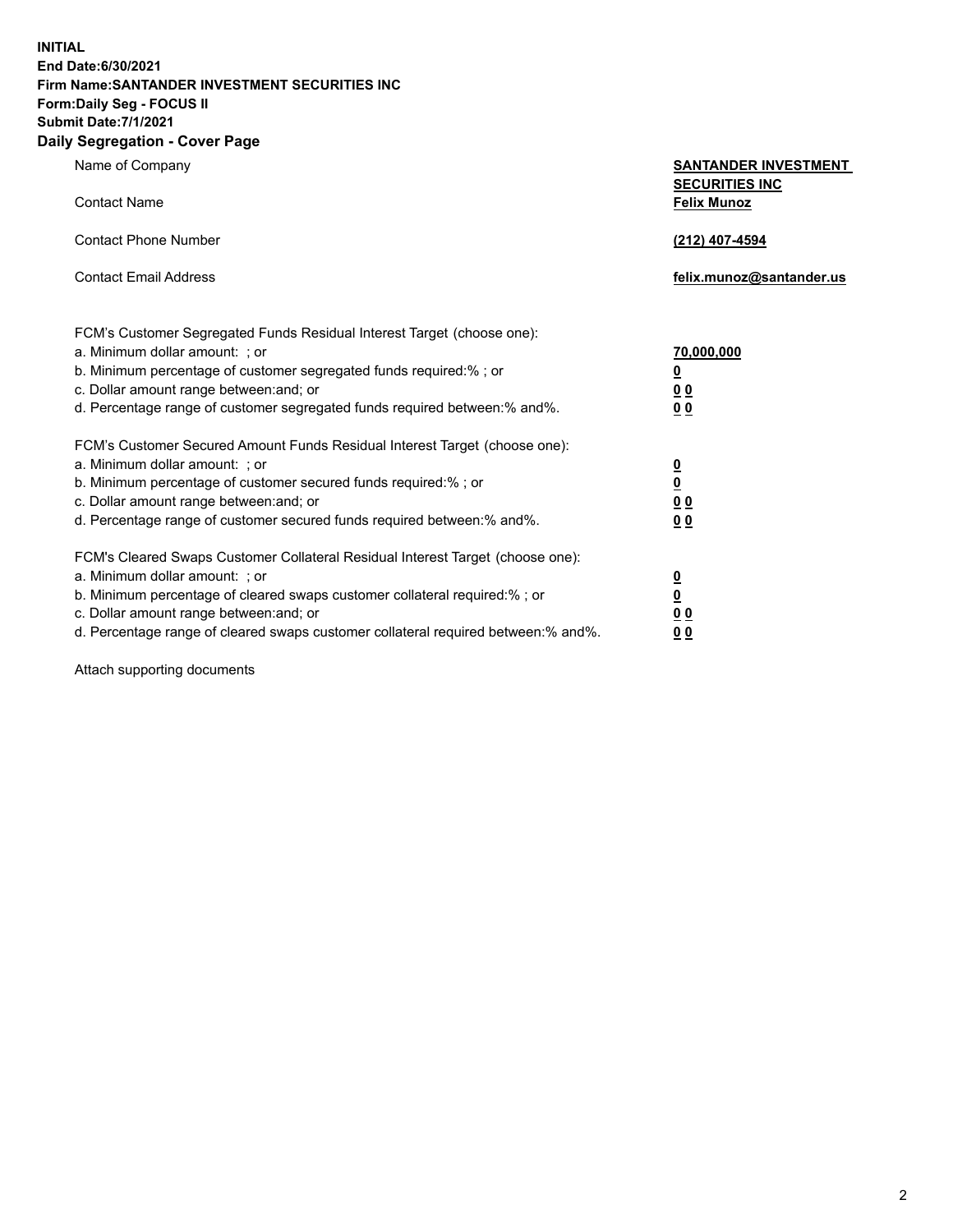**INITIAL End Date:6/30/2021 Firm Name:SANTANDER INVESTMENT SECURITIES INC Form:Daily Seg - FOCUS II Submit Date:7/1/2021**

## **Daily Segregation - Cover Page**

| Name of Company                                                                                                                                                                                                                                                                                         | <b>SANTANDER INVESTMENT</b><br><b>SECURITIES INC</b>                                                             |
|---------------------------------------------------------------------------------------------------------------------------------------------------------------------------------------------------------------------------------------------------------------------------------------------------------|------------------------------------------------------------------------------------------------------------------|
| <b>Contact Name</b>                                                                                                                                                                                                                                                                                     | <b>Felix Munoz</b>                                                                                               |
| <b>Contact Phone Number</b>                                                                                                                                                                                                                                                                             | (212) 407-4594                                                                                                   |
| <b>Contact Email Address</b>                                                                                                                                                                                                                                                                            | felix.munoz@santander.us                                                                                         |
| FCM's Customer Segregated Funds Residual Interest Target (choose one):<br>a. Minimum dollar amount: ; or<br>b. Minimum percentage of customer segregated funds required:%; or<br>c. Dollar amount range between: and; or<br>d. Percentage range of customer segregated funds required between: % and %. | 70,000,000<br>$\overline{\mathbf{0}}$<br>0 <sub>0</sub><br>00                                                    |
| FCM's Customer Secured Amount Funds Residual Interest Target (choose one):<br>a. Minimum dollar amount: ; or<br>b. Minimum percentage of customer secured funds required:% ; or<br>c. Dollar amount range between: and; or<br>d. Percentage range of customer secured funds required between: % and %.  | $\overline{\mathbf{0}}$<br>$\frac{\underline{0}}{\underline{0}}\frac{\underline{0}}{\underline{0}}$<br><u>00</u> |

FCM's Cleared Swaps Customer Collateral Residual Interest Target (choose one): a. Minimum dollar amount: ; or **0**<br>b. Minimum percentage of cleared swaps customer collateral required:% ; or **0** b. Minimum percentage of cleared swaps customer collateral required:% ; or **0**

c. Dollar amount range between:and; or **0 0**

d. Percentage range of cleared swaps customer collateral required between:% and%. **0 0**

Attach supporting documents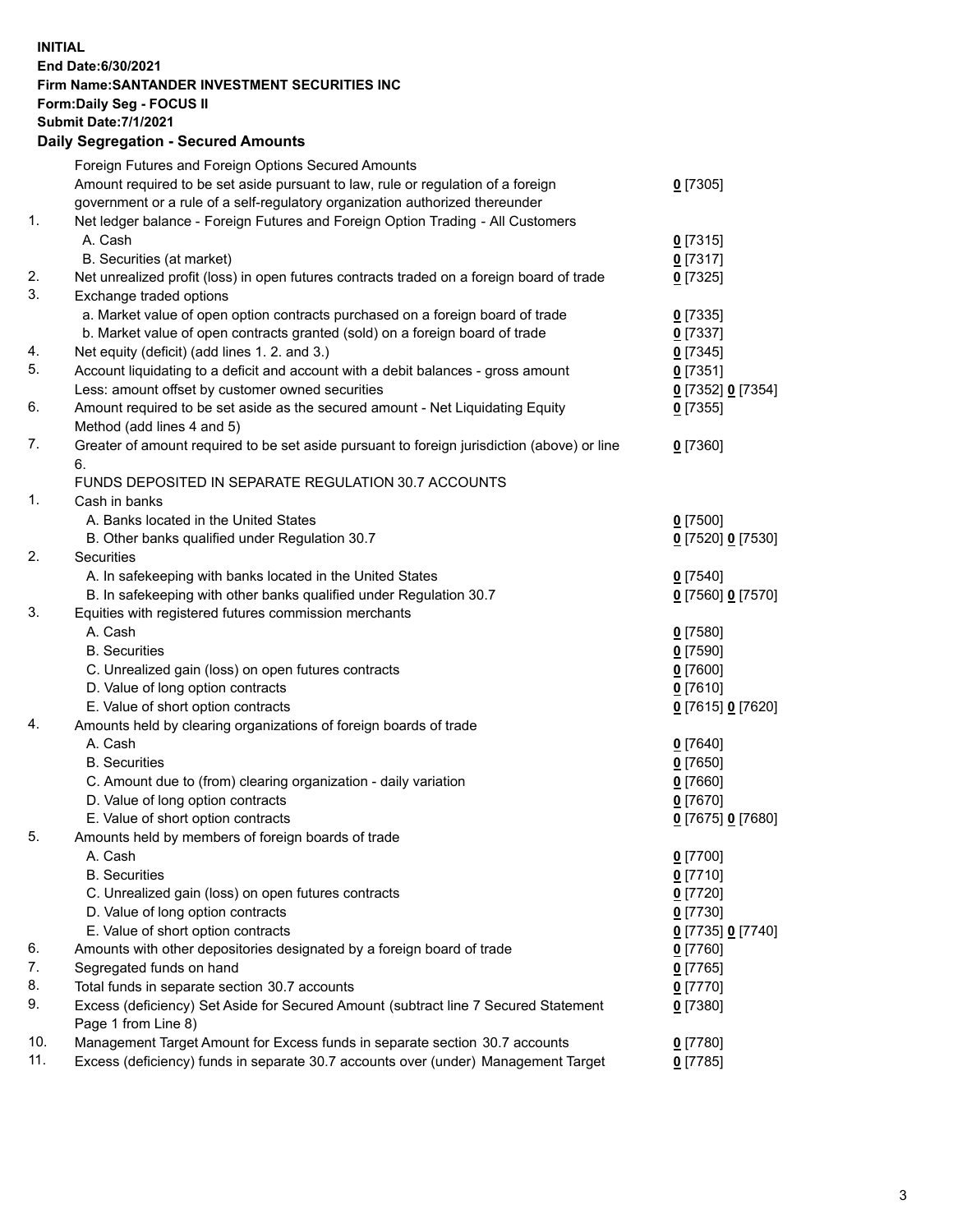**INITIAL End Date:6/30/2021 Firm Name:SANTANDER INVESTMENT SECURITIES INC Form:Daily Seg - FOCUS II Submit Date:7/1/2021 Daily Segregation - Secured Amounts** Foreign Futures and Foreign Options Secured Amounts Amount required to be set aside pursuant to law, rule or regulation of a foreign government or a rule of a self-regulatory organization authorized thereunder 1. Net ledger balance - Foreign Futures and Foreign Option Trading - All Customers A. Cash **0** [7315] B. Securities (at market) **0** [7317] 2. Net unrealized profit (loss) in open futures contracts traded on a foreign board of trade **0** [7325] 3. Exchange traded options a. Market value of open option contracts purchased on a foreign board of trade **0** [7335] b. Market value of open contracts granted (sold) on a foreign board of trade **0** [7337] 4. Net equity (deficit) (add lines 1. 2. and 3.) **0** [7345] 5. Account liquidating to a deficit and account with a debit balances - gross amount **0** [7351]

Less: amount offset by customer owned securities **0** [7352] **0** [7354] 6. Amount required to be set aside as the secured amount - Net Liquidating Equity Method (add lines 4 and 5) **0** [7355] 7. Greater of amount required to be set aside pursuant to foreign jurisdiction (above) or line 6. **0** [7360] FUNDS DEPOSITED IN SEPARATE REGULATION 30.7 ACCOUNTS 1. Cash in banks A. Banks located in the United States **0** [7500] B. Other banks qualified under Regulation 30.7 **0** [7520] **0** [7530] 2. Securities A. In safekeeping with banks located in the United States **0** [7540] B. In safekeeping with other banks qualified under Regulation 30.7 **0** [7560] **0** [7570] 3. Equities with registered futures commission merchants A. Cash **0** [7580] B. Securities **0** [7590] C. Unrealized gain (loss) on open futures contracts **0** [7600] D. Value of long option contracts **0** [7610] E. Value of short option contracts **0** [7615] **0** [7620] 4. Amounts held by clearing organizations of foreign boards of trade A. Cash **0** [7640] B. Securities **0** [7650] C. Amount due to (from) clearing organization - daily variation **0** [7660] D. Value of long option contracts **0** [7670] E. Value of short option contracts **0** [7675] **0** [7680] 5. Amounts held by members of foreign boards of trade A. Cash **0** [7700] B. Securities **0** [7710] C. Unrealized gain (loss) on open futures contracts **0** [7720] D. Value of long option contracts **0** [7730] E. Value of short option contracts **0** [7735] **0** [7740] 6. Amounts with other depositories designated by a foreign board of trade **0** [7760] 7. Segregated funds on hand **0** [7765] 8. Total funds in separate section 30.7 accounts **0** [7770] 9. Excess (deficiency) Set Aside for Secured Amount (subtract line 7 Secured Statement Page 1 from Line 8) **0** [7380] 10. Management Target Amount for Excess funds in separate section 30.7 accounts **0** [7780]

11. Excess (deficiency) funds in separate 30.7 accounts over (under) Management Target **0** [7785]

**0** [7305]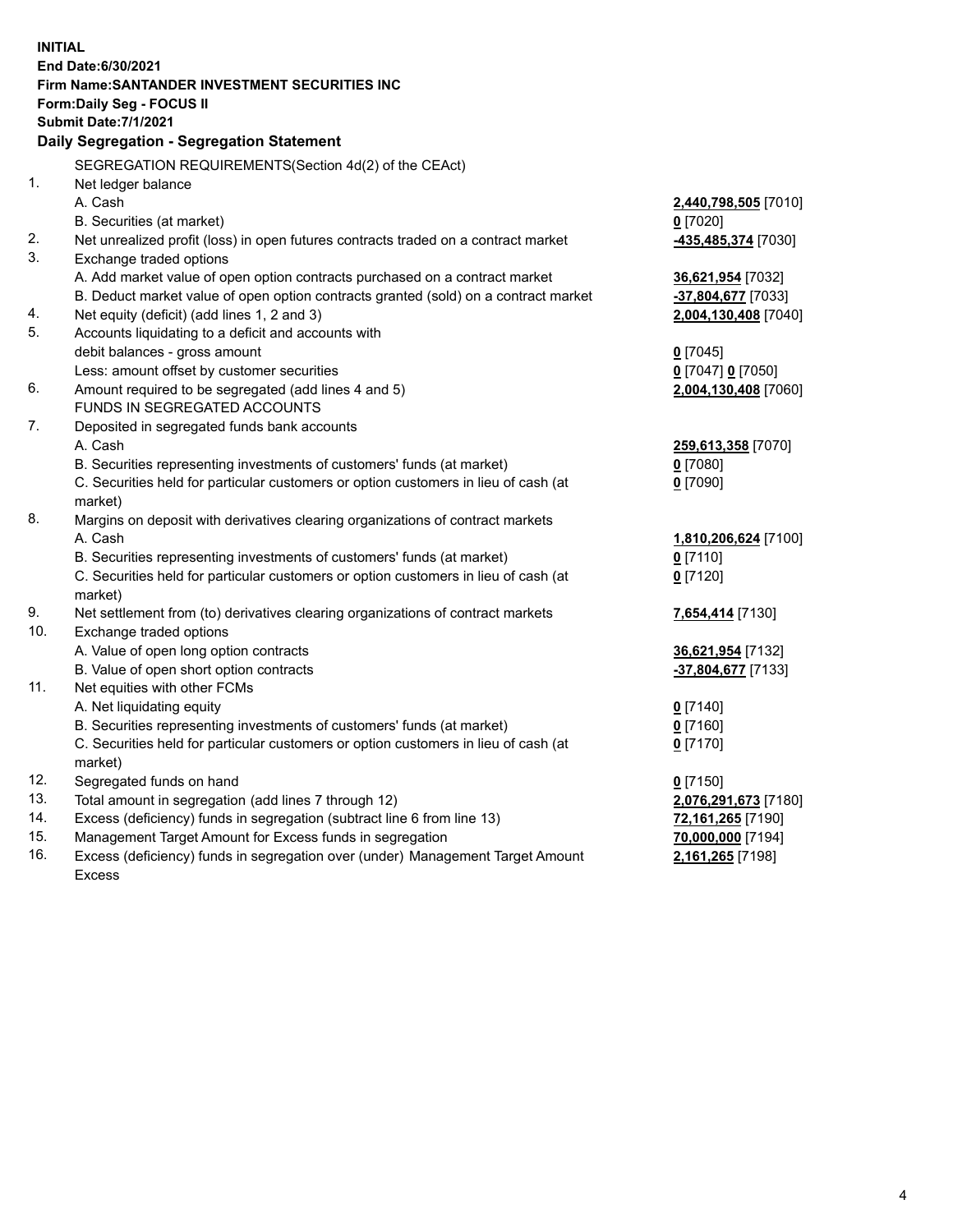| End Date:6/30/2021<br>Firm Name: SANTANDER INVESTMENT SECURITIES INC<br>Form: Daily Seg - FOCUS II<br><b>Submit Date: 7/1/2021</b><br>Daily Segregation - Segregation Statement<br>SEGREGATION REQUIREMENTS(Section 4d(2) of the CEAct)<br>1.<br>Net ledger balance<br>A. Cash<br>2,440,798,505 [7010]<br>$0$ [7020]<br>B. Securities (at market)<br>2.<br>Net unrealized profit (loss) in open futures contracts traded on a contract market<br>435,485,374 [7030]<br>3.<br>Exchange traded options<br>A. Add market value of open option contracts purchased on a contract market<br>36,621,954 [7032]<br>B. Deduct market value of open option contracts granted (sold) on a contract market<br>-37,804,677 [7033]<br>Net equity (deficit) (add lines 1, 2 and 3)<br>4.<br>2,004,130,408 [7040]<br>5.<br>Accounts liquidating to a deficit and accounts with<br>debit balances - gross amount<br>$0$ [7045]<br>Less: amount offset by customer securities<br>$0$ [7047] $0$ [7050]<br>6.<br>Amount required to be segregated (add lines 4 and 5)<br>2,004,130,408 [7060]<br>FUNDS IN SEGREGATED ACCOUNTS<br>7.<br>Deposited in segregated funds bank accounts<br>A. Cash<br>259,613,358 [7070]<br>B. Securities representing investments of customers' funds (at market)<br>$0$ [7080]<br>C. Securities held for particular customers or option customers in lieu of cash (at<br>$0$ [7090]<br>market)<br>8.<br>Margins on deposit with derivatives clearing organizations of contract markets<br>A. Cash<br>1,810,206,624 [7100]<br>B. Securities representing investments of customers' funds (at market)<br>$0$ [7110]<br>C. Securities held for particular customers or option customers in lieu of cash (at<br>$0$ [7120]<br>market)<br>9.<br>Net settlement from (to) derivatives clearing organizations of contract markets<br>7,654,414 [7130]<br>10.<br>Exchange traded options<br>A. Value of open long option contracts<br>36,621,954 [7132]<br>B. Value of open short option contracts<br>-37,804,677 [7133]<br>11.<br>Net equities with other FCMs | <b>INITIAL</b> |                           |            |
|--------------------------------------------------------------------------------------------------------------------------------------------------------------------------------------------------------------------------------------------------------------------------------------------------------------------------------------------------------------------------------------------------------------------------------------------------------------------------------------------------------------------------------------------------------------------------------------------------------------------------------------------------------------------------------------------------------------------------------------------------------------------------------------------------------------------------------------------------------------------------------------------------------------------------------------------------------------------------------------------------------------------------------------------------------------------------------------------------------------------------------------------------------------------------------------------------------------------------------------------------------------------------------------------------------------------------------------------------------------------------------------------------------------------------------------------------------------------------------------------------------------------------------------------------------------------------------------------------------------------------------------------------------------------------------------------------------------------------------------------------------------------------------------------------------------------------------------------------------------------------------------------------------------------------------------------------------------------------------------------------------------------------------------------------------------------|----------------|---------------------------|------------|
|                                                                                                                                                                                                                                                                                                                                                                                                                                                                                                                                                                                                                                                                                                                                                                                                                                                                                                                                                                                                                                                                                                                                                                                                                                                                                                                                                                                                                                                                                                                                                                                                                                                                                                                                                                                                                                                                                                                                                                                                                                                                    |                |                           |            |
|                                                                                                                                                                                                                                                                                                                                                                                                                                                                                                                                                                                                                                                                                                                                                                                                                                                                                                                                                                                                                                                                                                                                                                                                                                                                                                                                                                                                                                                                                                                                                                                                                                                                                                                                                                                                                                                                                                                                                                                                                                                                    |                |                           |            |
|                                                                                                                                                                                                                                                                                                                                                                                                                                                                                                                                                                                                                                                                                                                                                                                                                                                                                                                                                                                                                                                                                                                                                                                                                                                                                                                                                                                                                                                                                                                                                                                                                                                                                                                                                                                                                                                                                                                                                                                                                                                                    |                |                           |            |
|                                                                                                                                                                                                                                                                                                                                                                                                                                                                                                                                                                                                                                                                                                                                                                                                                                                                                                                                                                                                                                                                                                                                                                                                                                                                                                                                                                                                                                                                                                                                                                                                                                                                                                                                                                                                                                                                                                                                                                                                                                                                    |                |                           |            |
|                                                                                                                                                                                                                                                                                                                                                                                                                                                                                                                                                                                                                                                                                                                                                                                                                                                                                                                                                                                                                                                                                                                                                                                                                                                                                                                                                                                                                                                                                                                                                                                                                                                                                                                                                                                                                                                                                                                                                                                                                                                                    |                |                           |            |
|                                                                                                                                                                                                                                                                                                                                                                                                                                                                                                                                                                                                                                                                                                                                                                                                                                                                                                                                                                                                                                                                                                                                                                                                                                                                                                                                                                                                                                                                                                                                                                                                                                                                                                                                                                                                                                                                                                                                                                                                                                                                    |                |                           |            |
|                                                                                                                                                                                                                                                                                                                                                                                                                                                                                                                                                                                                                                                                                                                                                                                                                                                                                                                                                                                                                                                                                                                                                                                                                                                                                                                                                                                                                                                                                                                                                                                                                                                                                                                                                                                                                                                                                                                                                                                                                                                                    |                |                           |            |
|                                                                                                                                                                                                                                                                                                                                                                                                                                                                                                                                                                                                                                                                                                                                                                                                                                                                                                                                                                                                                                                                                                                                                                                                                                                                                                                                                                                                                                                                                                                                                                                                                                                                                                                                                                                                                                                                                                                                                                                                                                                                    |                |                           |            |
|                                                                                                                                                                                                                                                                                                                                                                                                                                                                                                                                                                                                                                                                                                                                                                                                                                                                                                                                                                                                                                                                                                                                                                                                                                                                                                                                                                                                                                                                                                                                                                                                                                                                                                                                                                                                                                                                                                                                                                                                                                                                    |                |                           |            |
|                                                                                                                                                                                                                                                                                                                                                                                                                                                                                                                                                                                                                                                                                                                                                                                                                                                                                                                                                                                                                                                                                                                                                                                                                                                                                                                                                                                                                                                                                                                                                                                                                                                                                                                                                                                                                                                                                                                                                                                                                                                                    |                |                           |            |
|                                                                                                                                                                                                                                                                                                                                                                                                                                                                                                                                                                                                                                                                                                                                                                                                                                                                                                                                                                                                                                                                                                                                                                                                                                                                                                                                                                                                                                                                                                                                                                                                                                                                                                                                                                                                                                                                                                                                                                                                                                                                    |                |                           |            |
|                                                                                                                                                                                                                                                                                                                                                                                                                                                                                                                                                                                                                                                                                                                                                                                                                                                                                                                                                                                                                                                                                                                                                                                                                                                                                                                                                                                                                                                                                                                                                                                                                                                                                                                                                                                                                                                                                                                                                                                                                                                                    |                |                           |            |
|                                                                                                                                                                                                                                                                                                                                                                                                                                                                                                                                                                                                                                                                                                                                                                                                                                                                                                                                                                                                                                                                                                                                                                                                                                                                                                                                                                                                                                                                                                                                                                                                                                                                                                                                                                                                                                                                                                                                                                                                                                                                    |                |                           |            |
|                                                                                                                                                                                                                                                                                                                                                                                                                                                                                                                                                                                                                                                                                                                                                                                                                                                                                                                                                                                                                                                                                                                                                                                                                                                                                                                                                                                                                                                                                                                                                                                                                                                                                                                                                                                                                                                                                                                                                                                                                                                                    |                |                           |            |
|                                                                                                                                                                                                                                                                                                                                                                                                                                                                                                                                                                                                                                                                                                                                                                                                                                                                                                                                                                                                                                                                                                                                                                                                                                                                                                                                                                                                                                                                                                                                                                                                                                                                                                                                                                                                                                                                                                                                                                                                                                                                    |                |                           |            |
|                                                                                                                                                                                                                                                                                                                                                                                                                                                                                                                                                                                                                                                                                                                                                                                                                                                                                                                                                                                                                                                                                                                                                                                                                                                                                                                                                                                                                                                                                                                                                                                                                                                                                                                                                                                                                                                                                                                                                                                                                                                                    |                |                           |            |
|                                                                                                                                                                                                                                                                                                                                                                                                                                                                                                                                                                                                                                                                                                                                                                                                                                                                                                                                                                                                                                                                                                                                                                                                                                                                                                                                                                                                                                                                                                                                                                                                                                                                                                                                                                                                                                                                                                                                                                                                                                                                    |                |                           |            |
|                                                                                                                                                                                                                                                                                                                                                                                                                                                                                                                                                                                                                                                                                                                                                                                                                                                                                                                                                                                                                                                                                                                                                                                                                                                                                                                                                                                                                                                                                                                                                                                                                                                                                                                                                                                                                                                                                                                                                                                                                                                                    |                |                           |            |
|                                                                                                                                                                                                                                                                                                                                                                                                                                                                                                                                                                                                                                                                                                                                                                                                                                                                                                                                                                                                                                                                                                                                                                                                                                                                                                                                                                                                                                                                                                                                                                                                                                                                                                                                                                                                                                                                                                                                                                                                                                                                    |                |                           |            |
|                                                                                                                                                                                                                                                                                                                                                                                                                                                                                                                                                                                                                                                                                                                                                                                                                                                                                                                                                                                                                                                                                                                                                                                                                                                                                                                                                                                                                                                                                                                                                                                                                                                                                                                                                                                                                                                                                                                                                                                                                                                                    |                |                           |            |
|                                                                                                                                                                                                                                                                                                                                                                                                                                                                                                                                                                                                                                                                                                                                                                                                                                                                                                                                                                                                                                                                                                                                                                                                                                                                                                                                                                                                                                                                                                                                                                                                                                                                                                                                                                                                                                                                                                                                                                                                                                                                    |                |                           |            |
|                                                                                                                                                                                                                                                                                                                                                                                                                                                                                                                                                                                                                                                                                                                                                                                                                                                                                                                                                                                                                                                                                                                                                                                                                                                                                                                                                                                                                                                                                                                                                                                                                                                                                                                                                                                                                                                                                                                                                                                                                                                                    |                |                           |            |
|                                                                                                                                                                                                                                                                                                                                                                                                                                                                                                                                                                                                                                                                                                                                                                                                                                                                                                                                                                                                                                                                                                                                                                                                                                                                                                                                                                                                                                                                                                                                                                                                                                                                                                                                                                                                                                                                                                                                                                                                                                                                    |                |                           |            |
|                                                                                                                                                                                                                                                                                                                                                                                                                                                                                                                                                                                                                                                                                                                                                                                                                                                                                                                                                                                                                                                                                                                                                                                                                                                                                                                                                                                                                                                                                                                                                                                                                                                                                                                                                                                                                                                                                                                                                                                                                                                                    |                |                           |            |
|                                                                                                                                                                                                                                                                                                                                                                                                                                                                                                                                                                                                                                                                                                                                                                                                                                                                                                                                                                                                                                                                                                                                                                                                                                                                                                                                                                                                                                                                                                                                                                                                                                                                                                                                                                                                                                                                                                                                                                                                                                                                    |                |                           |            |
|                                                                                                                                                                                                                                                                                                                                                                                                                                                                                                                                                                                                                                                                                                                                                                                                                                                                                                                                                                                                                                                                                                                                                                                                                                                                                                                                                                                                                                                                                                                                                                                                                                                                                                                                                                                                                                                                                                                                                                                                                                                                    |                |                           |            |
|                                                                                                                                                                                                                                                                                                                                                                                                                                                                                                                                                                                                                                                                                                                                                                                                                                                                                                                                                                                                                                                                                                                                                                                                                                                                                                                                                                                                                                                                                                                                                                                                                                                                                                                                                                                                                                                                                                                                                                                                                                                                    |                |                           |            |
|                                                                                                                                                                                                                                                                                                                                                                                                                                                                                                                                                                                                                                                                                                                                                                                                                                                                                                                                                                                                                                                                                                                                                                                                                                                                                                                                                                                                                                                                                                                                                                                                                                                                                                                                                                                                                                                                                                                                                                                                                                                                    |                |                           |            |
|                                                                                                                                                                                                                                                                                                                                                                                                                                                                                                                                                                                                                                                                                                                                                                                                                                                                                                                                                                                                                                                                                                                                                                                                                                                                                                                                                                                                                                                                                                                                                                                                                                                                                                                                                                                                                                                                                                                                                                                                                                                                    |                |                           |            |
|                                                                                                                                                                                                                                                                                                                                                                                                                                                                                                                                                                                                                                                                                                                                                                                                                                                                                                                                                                                                                                                                                                                                                                                                                                                                                                                                                                                                                                                                                                                                                                                                                                                                                                                                                                                                                                                                                                                                                                                                                                                                    |                |                           |            |
|                                                                                                                                                                                                                                                                                                                                                                                                                                                                                                                                                                                                                                                                                                                                                                                                                                                                                                                                                                                                                                                                                                                                                                                                                                                                                                                                                                                                                                                                                                                                                                                                                                                                                                                                                                                                                                                                                                                                                                                                                                                                    |                |                           |            |
|                                                                                                                                                                                                                                                                                                                                                                                                                                                                                                                                                                                                                                                                                                                                                                                                                                                                                                                                                                                                                                                                                                                                                                                                                                                                                                                                                                                                                                                                                                                                                                                                                                                                                                                                                                                                                                                                                                                                                                                                                                                                    |                |                           |            |
|                                                                                                                                                                                                                                                                                                                                                                                                                                                                                                                                                                                                                                                                                                                                                                                                                                                                                                                                                                                                                                                                                                                                                                                                                                                                                                                                                                                                                                                                                                                                                                                                                                                                                                                                                                                                                                                                                                                                                                                                                                                                    |                |                           |            |
|                                                                                                                                                                                                                                                                                                                                                                                                                                                                                                                                                                                                                                                                                                                                                                                                                                                                                                                                                                                                                                                                                                                                                                                                                                                                                                                                                                                                                                                                                                                                                                                                                                                                                                                                                                                                                                                                                                                                                                                                                                                                    |                | A. Net liquidating equity | $0$ [7140] |
| B. Securities representing investments of customers' funds (at market)<br>$0$ [7160]                                                                                                                                                                                                                                                                                                                                                                                                                                                                                                                                                                                                                                                                                                                                                                                                                                                                                                                                                                                                                                                                                                                                                                                                                                                                                                                                                                                                                                                                                                                                                                                                                                                                                                                                                                                                                                                                                                                                                                               |                |                           |            |
| C. Securities held for particular customers or option customers in lieu of cash (at<br>$0$ [7170]                                                                                                                                                                                                                                                                                                                                                                                                                                                                                                                                                                                                                                                                                                                                                                                                                                                                                                                                                                                                                                                                                                                                                                                                                                                                                                                                                                                                                                                                                                                                                                                                                                                                                                                                                                                                                                                                                                                                                                  |                |                           |            |
| market)                                                                                                                                                                                                                                                                                                                                                                                                                                                                                                                                                                                                                                                                                                                                                                                                                                                                                                                                                                                                                                                                                                                                                                                                                                                                                                                                                                                                                                                                                                                                                                                                                                                                                                                                                                                                                                                                                                                                                                                                                                                            |                |                           |            |
| 12.<br>Segregated funds on hand<br>$0$ [7150]<br>13.                                                                                                                                                                                                                                                                                                                                                                                                                                                                                                                                                                                                                                                                                                                                                                                                                                                                                                                                                                                                                                                                                                                                                                                                                                                                                                                                                                                                                                                                                                                                                                                                                                                                                                                                                                                                                                                                                                                                                                                                               |                |                           |            |
| Total amount in segregation (add lines 7 through 12)<br>2,076,291,673 [7180]<br>14.<br>Excess (deficiency) funds in segregation (subtract line 6 from line 13)                                                                                                                                                                                                                                                                                                                                                                                                                                                                                                                                                                                                                                                                                                                                                                                                                                                                                                                                                                                                                                                                                                                                                                                                                                                                                                                                                                                                                                                                                                                                                                                                                                                                                                                                                                                                                                                                                                     |                |                           |            |
| 72,161,265 [7190]<br>15.<br>Management Target Amount for Excess funds in segregation<br>70,000,000 [7194]                                                                                                                                                                                                                                                                                                                                                                                                                                                                                                                                                                                                                                                                                                                                                                                                                                                                                                                                                                                                                                                                                                                                                                                                                                                                                                                                                                                                                                                                                                                                                                                                                                                                                                                                                                                                                                                                                                                                                          |                |                           |            |
| 16.<br>Excess (deficiency) funds in segregation over (under) Management Target Amount<br>2,161,265 [7198]                                                                                                                                                                                                                                                                                                                                                                                                                                                                                                                                                                                                                                                                                                                                                                                                                                                                                                                                                                                                                                                                                                                                                                                                                                                                                                                                                                                                                                                                                                                                                                                                                                                                                                                                                                                                                                                                                                                                                          |                |                           |            |
| Excess                                                                                                                                                                                                                                                                                                                                                                                                                                                                                                                                                                                                                                                                                                                                                                                                                                                                                                                                                                                                                                                                                                                                                                                                                                                                                                                                                                                                                                                                                                                                                                                                                                                                                                                                                                                                                                                                                                                                                                                                                                                             |                |                           |            |